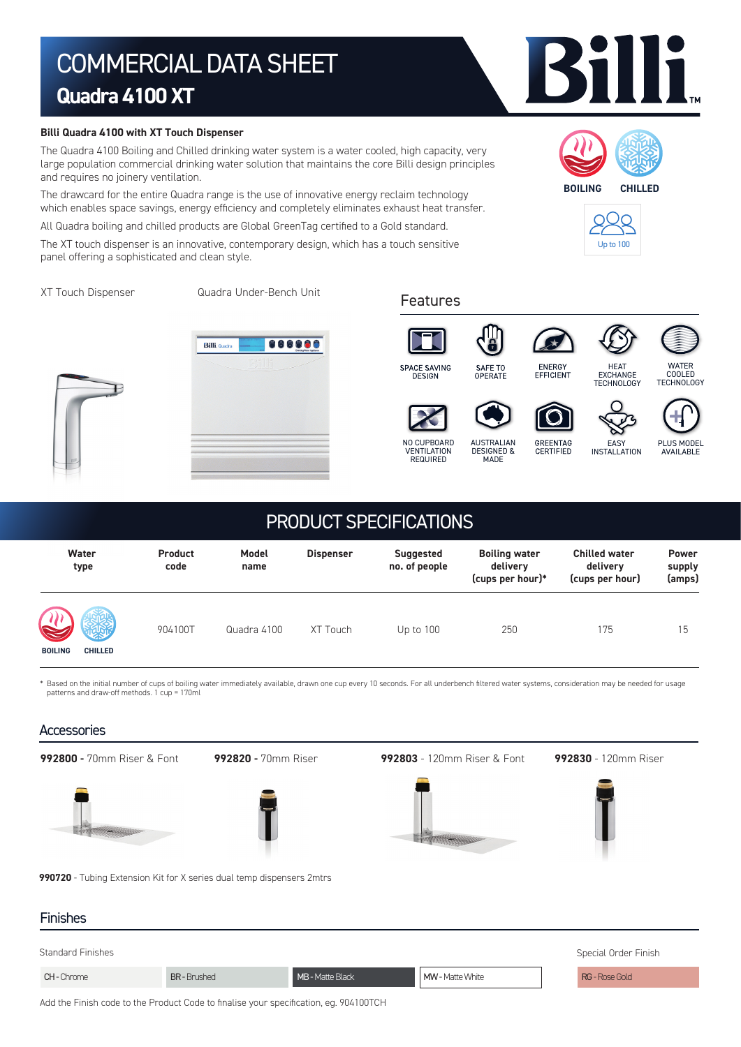# COMMERCIAL DATA SHEET **Quadra 4100 XT**

#### **Billi Quadra 4100 with XT Touch Dispenser**

The Quadra 4100 Boiling and Chilled drinking water system is a water cooled, high capacity, very large population commercial drinking water solution that maintains the core Billi design principles and requires no joinery ventilation.

The drawcard for the entire Quadra range is the use of innovative energy reclaim technology which enables space savings, energy efficiency and completely eliminates exhaust heat transfer.

All Quadra boiling and chilled products are Global GreenTag certified to a Gold standard.

The XT touch dispenser is an innovative, contemporary design, which has a touch sensitive panel offering a sophisticated and clean style.

XT Touch Dispenser

Quadra Under-Bench Unit Features













NO CUPBOARD

VENTILATION REQUIRED









HEAT EXCHANGE TECHNOLOGY

INSTALLATION

PLUS MODEL **AVAILABLE** 

WATER COOLED **TECHNOLOGY** 

## PRODUCT SPECIFICATIONS

| Water<br>type                         | <b>Product</b><br>code | Model<br>name | <b>Dispenser</b> | <b>Suggested</b><br>no. of people | <b>Boiling water</b><br>delivery<br>(cups per hour)* | <b>Chilled water</b><br>delivery<br>(cups per hour) | <b>Power</b><br>supply<br>(amps) |
|---------------------------------------|------------------------|---------------|------------------|-----------------------------------|------------------------------------------------------|-----------------------------------------------------|----------------------------------|
| 吸<br><b>BOILING</b><br><b>CHILLED</b> | 904100T                | Quadra 4100   | XT Touch         | Up to $100$                       | 250                                                  | 175                                                 | 15                               |

Based on the initial number of cups of boiling water immediately available, drawn one cup every 10 seconds. For all underbench filtered water systems, consideration may be needed for usage patterns and draw-off methods. 1 cup = 170ml

### **Accessories**





**BOILING CHILLED**

Up to 100







GREENTAG<br>CERTIFIED

ENERGY<br>EFFICIENT